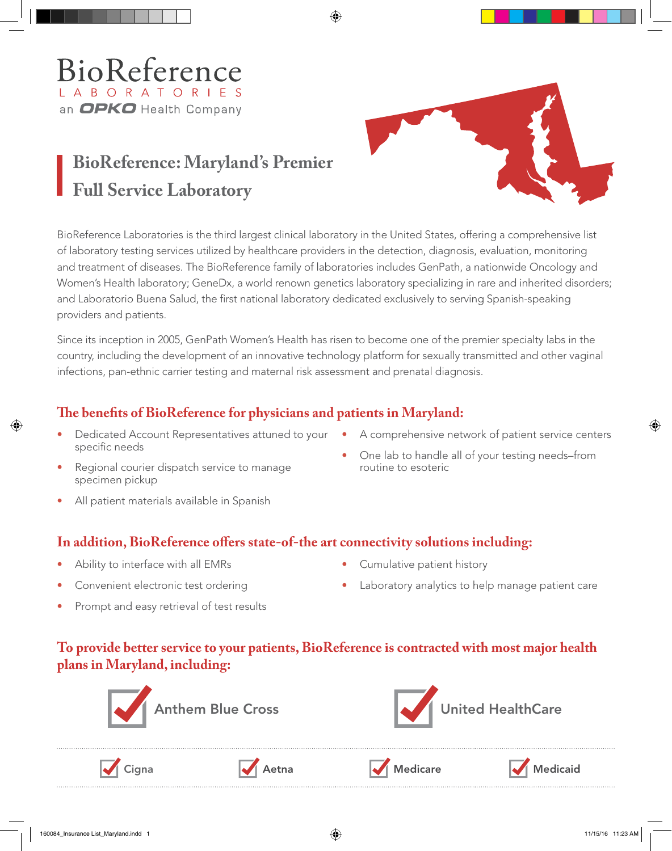# BioReference L A B O R A T O R I E S an  $OPKO$  Health Company

# **BioReference: Maryland's Premier Full Service Laboratory**



BioReference Laboratories is the third largest clinical laboratory in the United States, offering a comprehensive list of laboratory testing services utilized by healthcare providers in the detection, diagnosis, evaluation, monitoring and treatment of diseases. The BioReference family of laboratories includes GenPath, a nationwide Oncology and Women's Health laboratory; GeneDx, a world renown genetics laboratory specializing in rare and inherited disorders; and Laboratorio Buena Salud, the first national laboratory dedicated exclusively to serving Spanish-speaking providers and patients.

Since its inception in 2005, GenPath Women's Health has risen to become one of the premier specialty labs in the country, including the development of an innovative technology platform for sexually transmitted and other vaginal infections, pan-ethnic carrier testing and maternal risk assessment and prenatal diagnosis.

### **The benefits of BioReference for physicians and patients in Maryland:**

- Dedicated Account Representatives attuned to your specific needs
- A comprehensive network of patient service centers
	- Regional courier dispatch service to manage specimen pickup
- One lab to handle all of your testing needs–from routine to esoteric
- All patient materials available in Spanish

#### **In addition, BioReference offers state-of-the art connectivity solutions including:**

- Ability to interface with all EMRs
- Convenient electronic test ordering
- Cumulative patient history
- Laboratory analytics to help manage patient care
- Prompt and easy retrieval of test results

#### **To provide better service to your patients, BioReference is contracted with most major health plans in Maryland, including:**

Cigna **Medical Medicare Medical Medicaid** Medicaid